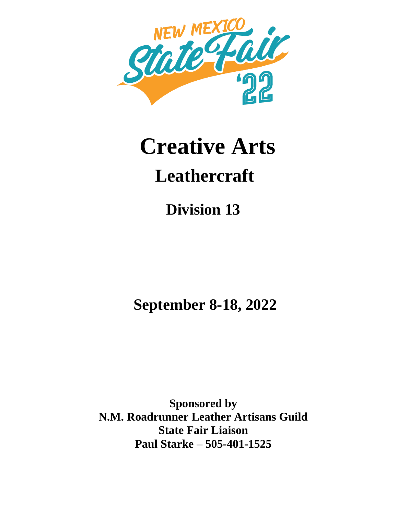

# **Creative Arts Leathercraft**

**Division 13**

**September 8-18, 2022**

**Sponsored by N.M. Roadrunner Leather Artisans Guild State Fair Liaison Paul Starke – 505-401-1525**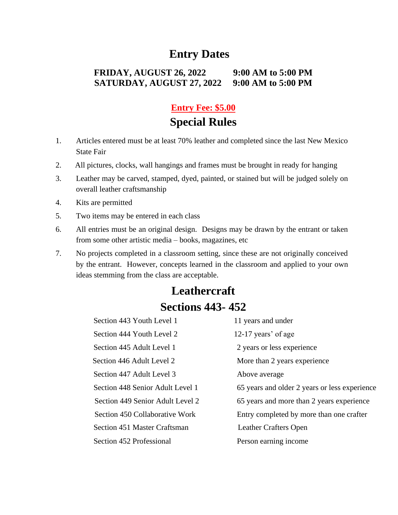# **Entry Dates**

#### **FRIDAY, AUGUST 26, 2022 9:00 AM to 5:00 PM SATURDAY, AUGUST 27, 2022 9:00 AM to 5:00 PM**

## **Entry Fee: \$5.00**

# **Special Rules**

- 1. Articles entered must be at least 70% leather and completed since the last New Mexico State Fair
- 2. All pictures, clocks, wall hangings and frames must be brought in ready for hanging
- 3. Leather may be carved, stamped, dyed, painted, or stained but will be judged solely on overall leather craftsmanship
- 4. Kits are permitted
- 5. Two items may be entered in each class
- 6. All entries must be an original design. Designs may be drawn by the entrant or taken from some other artistic media – books, magazines, etc
- 7. No projects completed in a classroom setting, since these are not originally conceived by the entrant. However, concepts learned in the classroom and applied to your own ideas stemming from the class are acceptable.

# **Leathercraft Sections 443- 452**

| Section 443 Youth Level 1        | 11 years and under                            |
|----------------------------------|-----------------------------------------------|
| Section 444 Youth Level 2        | 12-17 years' of age                           |
| Section 445 Adult Level 1        | 2 years or less experience                    |
| Section 446 Adult Level 2        | More than 2 years experience                  |
| Section 447 Adult Level 3        | Above average                                 |
| Section 448 Senior Adult Level 1 | 65 years and older 2 years or less experience |
| Section 449 Senior Adult Level 2 | 65 years and more than 2 years experience     |
| Section 450 Collaborative Work   | Entry completed by more than one crafter      |
| Section 451 Master Craftsman     | Leather Crafters Open                         |
| Section 452 Professional         | Person earning income                         |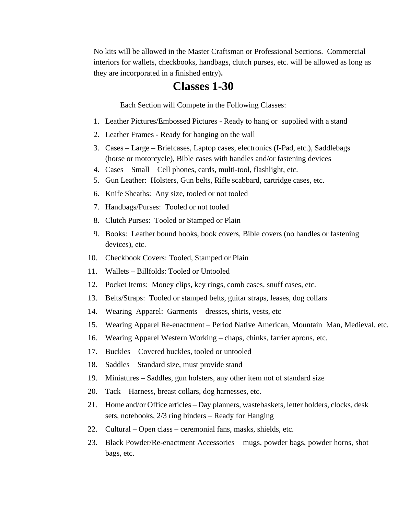No kits will be allowed in the Master Craftsman or Professional Sections. Commercial interiors for wallets, checkbooks, handbags, clutch purses, etc. will be allowed as long as they are incorporated in a finished entry)**.**

### **Classes 1-30**

Each Section will Compete in the Following Classes:

- 1. Leather Pictures/Embossed Pictures Ready to hang or supplied with a stand
- 2. Leather Frames Ready for hanging on the wall
- 3. Cases Large Briefcases, Laptop cases, electronics (I-Pad, etc.), Saddlebags (horse or motorcycle), Bible cases with handles and/or fastening devices
- 4. Cases Small Cell phones, cards, multi-tool, flashlight, etc.
- 5. Gun Leather: Holsters, Gun belts, Rifle scabbard, cartridge cases, etc.
- 6. Knife Sheaths: Any size, tooled or not tooled
- 7. Handbags/Purses: Tooled or not tooled
- 8. Clutch Purses: Tooled or Stamped or Plain
- 9. Books: Leather bound books, book covers, Bible covers (no handles or fastening devices), etc.
- 10. Checkbook Covers: Tooled, Stamped or Plain
- 11. Wallets Billfolds: Tooled or Untooled
- 12. Pocket Items: Money clips, key rings, comb cases, snuff cases, etc.
- 13. Belts/Straps: Tooled or stamped belts, guitar straps, leases, dog collars
- 14. Wearing Apparel: Garments dresses, shirts, vests, etc
- 15. Wearing Apparel Re-enactment Period Native American, Mountain Man, Medieval, etc.
- 16. Wearing Apparel Western Working chaps, chinks, farrier aprons, etc.
- 17. Buckles Covered buckles, tooled or untooled
- 18. Saddles Standard size, must provide stand
- 19. Miniatures Saddles, gun holsters, any other item not of standard size
- 20. Tack Harness, breast collars, dog harnesses, etc.
- 21. Home and/or Office articles Day planners, wastebaskets, letter holders, clocks, desk sets, notebooks, 2/3 ring binders – Ready for Hanging
- 22. Cultural Open class ceremonial fans, masks, shields, etc.
- 23. Black Powder/Re-enactment Accessories mugs, powder bags, powder horns, shot bags, etc.